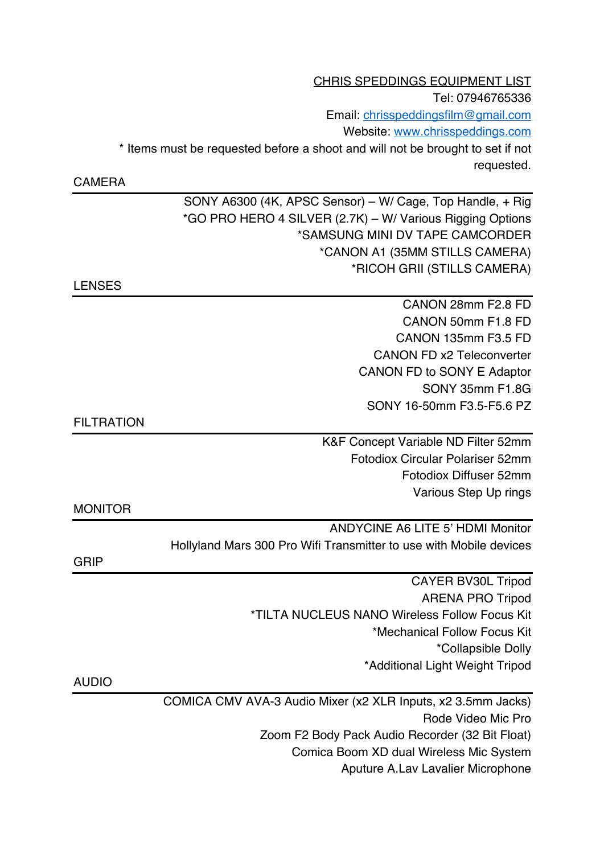|                   | <b>CHRIS SPEDDINGS EQUIPMENT LIST</b>                                          |
|-------------------|--------------------------------------------------------------------------------|
|                   | Tel: 07946765336                                                               |
|                   | Email: chrisspeddingsfilm@gmail.com                                            |
|                   | Website: www.chrisspeddings.com                                                |
|                   | * Items must be requested before a shoot and will not be brought to set if not |
|                   | requested.                                                                     |
| <b>CAMERA</b>     |                                                                                |
|                   | SONY A6300 (4K, APSC Sensor) – W/ Cage, Top Handle, + Rig                      |
|                   | *GO PRO HERO 4 SILVER (2.7K) - W/ Various Rigging Options                      |
|                   | *SAMSUNG MINI DV TAPE CAMCORDER                                                |
|                   | *CANON A1 (35MM STILLS CAMERA)                                                 |
|                   | *RICOH GRII (STILLS CAMERA)                                                    |
| LENSES            |                                                                                |
|                   | CANON 28mm F2.8 FD                                                             |
|                   | CANON 50mm F1.8 FD                                                             |
|                   | CANON 135mm F3.5 FD                                                            |
|                   | <b>CANON FD x2 Teleconverter</b>                                               |
|                   | CANON FD to SONY E Adaptor                                                     |
|                   | SONY 35mm F1.8G                                                                |
| <b>FILTRATION</b> | SONY 16-50mm F3.5-F5.6 PZ                                                      |
|                   |                                                                                |
|                   | K&F Concept Variable ND Filter 52mm<br>Fotodiox Circular Polariser 52mm        |
|                   | Fotodiox Diffuser 52mm                                                         |
|                   | Various Step Up rings                                                          |
| <b>MONITOR</b>    |                                                                                |
|                   | ANDYCINE A6 LITE 5' HDMI Monitor                                               |
|                   | Hollyland Mars 300 Pro Wifi Transmitter to use with Mobile devices             |
| GRIP              |                                                                                |
|                   | <b>CAYER BV30L Tripod</b>                                                      |
|                   | <b>ARENA PRO Tripod</b>                                                        |
|                   | *TILTA NUCLEUS NANO Wireless Follow Focus Kit                                  |
|                   | *Mechanical Follow Focus Kit                                                   |
|                   | *Collapsible Dolly                                                             |
|                   | *Additional Light Weight Tripod                                                |
| <b>AUDIO</b>      |                                                                                |
|                   | COMICA CMV AVA-3 Audio Mixer (x2 XLR Inputs, x2 3.5mm Jacks)                   |
|                   | Rode Video Mic Pro                                                             |
|                   | Zoom F2 Body Pack Audio Recorder (32 Bit Float)                                |
|                   | Comica Boom XD dual Wireless Mic System                                        |
|                   | Aputure A.Lav Lavalier Microphone                                              |